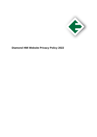

**Diamond HMI Website Privacy Policy 2022**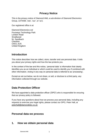### **Privacy Notice**

This is the privacy notice of Diamond HMI, a sub-division of Diamond Electronics Group, 1374438. ('we', 'our', or 'us').

Our registered office is at

Diamond Electronics Ltd Fourways Technology Park London Road **Smallwood** Nr. Sandbach **Cheshire** CW11 2US United Kingdom

### **Introduction**

This notice describes how we collect, store, transfer and use personal data. It tells you about your privacy rights and how the law protects you.

In the context of the law and this notice, 'personal data' is information that clearly identifies you as an individual or which could be used to identify you if combined with other information. Acting in any way on personal data is referred to as 'processing'.

Except as set out below, we do not share, or sell, or disclose to a third party, any information collected through our website.

## **Data Protection Officer**

We have appointed a data protection officer ('DPO') who is responsible for ensuring that our privacy policy is followed.

If you have any questions about how we process your personal data, including any requests to exercise your legal rights, please contact our DPO, Peter Hall, at [peterhall@diamondelec.co.uk](mailto:peterhall@diamondelec.co.uk)

### **Personal data we process**

### **1. How we obtain personal data**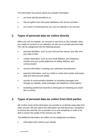The information we process about you includes information:

- you have directly provided to us
- that we gather from third party databases and service providers
- as a result of monitoring how you use our website or our services

### **2. Types of personal data we collect directly**

When you use our website, our services or buy from us, [for example, when you create an account on our website,] we ask you to provide personal data. This can be categorised into the following groups:

- personal identifiers, such as your first and last names, your title, and your date of birth
- contact information, such as your email address, your telephone number and your postal addresses for billing, delivery, and communication
- account information, including your username and password
- payment information, such as a debit or credit card number and expiry date and bank account details
- records of communication between us including messages sent through our website, email messages and telephone conversations
- marketing preferences that tell us what types of marketing you would like to receive

## **3. Types of personal data we collect from third parties**

We confirm some of the information you provide to us directly using data from other sources. We also add to the information we hold about you, sometimes to remove the need for you to provide it to us and sometimes in order to be able to assess the quality of the services you offer.

The additional information we collect can be categorised as follows:

information that confirms your identity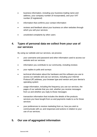- business information, including your business trading name and address, your company number (if incorporated), and your VAT number (if registered)
- information that confirms your contact information
- reviews and feedback about your business on other websites through which you sell your services
- unsolicited complaints by other users

## **4. Types of personal data we collect from your use of our services**

By using our website and our services, we process:

- your username and password and other information used to access our website and our services
- information you contribute to our community, including reviews
- your replies to polls and surveys
- technical information about the hardware and the software you use to access our website and use our services, including your Internet Protocol (IP) address, your browser type and version and your device's operating system
- usage information, including the frequency you use our services, the pages of our website that you visit, whether you receive messages from us and whether you reply to those messages
- transaction information that includes the details of the products services you have bought from us and payments made to us for those services
- your preferences to receive marketing from us; how you wish to communicate with us; and responses and actions in relation to your use of our services.

### **5. Our use of aggregated information**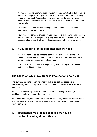We may aggregate anonymous information such as statistical or demographic data for any purpose. Anonymous information is that which does not identify you as an individual. Aggregated information may be derived from your personal data but is not considered as such in law because it does not reveal your identity.

For example, we may aggregate usage information to assess whether a feature of our website is useful.

However, if we combine or connect aggregated information with your personal data so that it can identify you in any way, we treat the combined information as personal data, and it will be used in accordance with this privacy notice.

### **6. If you do not provide personal data we need**

Where we need to collect personal data by law, or under the terms of a contract we have with you, and you fail to provide that data when requested, we may not be able to perform that contract.

In that case, we may have to stop providing a service to you. If so, we will notify you of this at the time.

## **The bases on which we process information about you**

The law requires us to determine under which of six defined bases we process different categories of your personal data, and to notify you of the basis for each category.

If a basis on which we process your personal data is no longer relevant, then we shall immediately stop processing your data.

If the basis changes, then if required by law we shall notify you of the change and of any new basis under which we have determined that we can continue to process your information.

# **7. Information we process because we have a contractual obligation with you**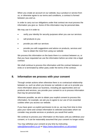When you create an account on our website, buy a product or service from us, or otherwise agree to our terms and conditions, a contract is formed between you and us.

In order to carry out our obligations under that contract we must process the information you give us. Some of this information may be personal data.

We may use it in order to:

- verify your identity for security purposes when you use our services
- sell products to you
- provide you with our services
- provide you with suggestions and advice on products, services and how to obtain the most from using our website

We process this information on the basis there is a contract between us, or that you have requested we use the information before we enter into a legal contract.

We shall continue to process this information until the contract between us ends or is terminated by either party under the terms of the contract.

#### **8. Information we process with your consent**

Through certain actions when otherwise there is no contractual relationship between us, such as when you browse our website or ask us to provide you more information about our business, including job opportunities and our products and services, you provide your consent to us to process information that may be personal data.

Wherever possible, we aim to obtain your explicit consent to process this information, for example, we ask you to agree to our use of non-essential cookies when you access our website.

If you have given us explicit permission to do so, we may from time to time pass your name and contact information to selected associates whom we consider may provide services or products you would find useful.

We continue to process your information on this basis until you withdraw your consent, or it can be reasonably assumed that your consent no longer exists.

You may withdraw your consent at any time by instructing [sales@diamondhmi.co.uk](mailto:sales@diamondhmi.co.uk) or<https://www.diamondhmi.co.uk/contact/>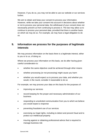However, if you do so, you may not be able to use our website or our services further.

We aim to obtain and keep your consent to process your information. However, while we take your consent into account in decisions about whether or not to process your personal data, the withdrawal of your consent does not necessarily prevent us from continuing to process it. The law may allow us to continue to process your personal data, provided that there is another basis on which we may do so. For example, we may have a legal obligation to do so.

## **9. Information we process for the purposes of legitimate interests**

We may process information on the basis there is a legitimate interest, either to you or to us, of doing so.

Where we process your information on this basis, we do after having given careful consideration to:

- whether the same objective could be achieved through other means
- whether processing (or not processing) might cause you harm
- whether you would expect us to process your data, and whether you would, in the round, consider it reasonable to do so

For example, we may process your data on this basis for the purposes of:

- improving our services
- record-keeping for the proper and necessary administration of our business
- responding to unsolicited communication from you to which we believe you would expect a response
- preventing fraudulent use of our services
- exercising our legal rights, including to detect and prevent fraud and to protect our intellectual property
- insuring against or obtaining professional advice that is required to manage business risk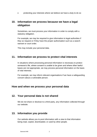• protecting your interests where we believe we have a duty to do so

# **10. Information we process because we have a legal obligation**

Sometimes, we must process your information in order to comply with a statutory obligation.

For example, we may be required to give information to legal authorities if they so request or if they have the proper authorisation such as a search warrant or court order.

This may include your personal data.

#### **11. Information we process to protect vital interests**

In situations where processing personal information is necessary to protect someone's life, where consent is unable to be given and where other lawful bases are not appropriate, we may process personal information on the basis of vital interests.

For example, we may inform relevant organisations if we have a safeguarding concern about a vulnerable person.

### **How and when we process your personal data**

### **12. Your personal data is not shared**

We do not share or disclose to a third party, any information collected through our website.

### **13. Information you provide**

Our website allows you to post information with a view to that information being read, copied, downloaded, or used by other people.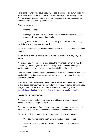For example, when you leave a review or post a message on our website, we reasonably assume that you consent for the message to be seen by others. We may include your username with your message, and your message may contain information that is personal data.

Other examples include:

- tagging an image
- clicking on an icon next to another visitor's message to convey your agreement, disagreement or thanks

In posting personal data, it is up to you to satisfy yourself about the privacy level of every person who might use it.

We do not specifically use this information except to allow it to be displayed or shared.

We do store it, and we reserve a right to use it in the future in any way we decide.

We provide you with a public profile page, the information on which may be indexed by search engines or used by third parties. The information you provide on that profile page may be made available to the public.

Once your information enters the public domain, we have no control over what any individual third party may do with it. We accept no responsibility for their actions at any time.

Provided your request is reasonable and there is no legal basis for us to retain it, then at our discretion we may agree to your request to delete personal data that you have posted. You can make a request by contacting us at [sales@diamondhmi.co.uk](mailto:sales@diamondhmi.co.uk) or<https://www.diamondhmi.co.uk/contact/>

# **Payment information**

We store information about your debit or credit card or other means of payment when you first provide it to us.

We store this payment information, at your request, in order to make repeat purchasing of goods and services easier next time you visit our website.

We take the following measures to protect your payment information:

- We keep your payment information encrypted on our servers.
- Access to your payment information is restricted to authorised staff only.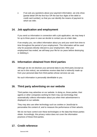If we ask you questions about your payment information, we only show [partial detail OR the first four OR the last four digits of the debit or credit card number], so that you can identify the means of payment to which we refer.

#### **14. Job application and employment**

If you send us information in connection with a job application, we may keep it for up to three years in case we decide to contact you at a later date.

If we employ you, we collect information about you and your work from time to time throughout the period of your employment. This information will be used only for purposes directly relevant to your employment. After your employment has ended, we will keep your file for six years before destroying or deleting it.

### **15. Information obtained from third parties**

Although we do not disclose your personal data to any third party (except as set out in this notice), we sometimes receive data that is indirectly made up from your personal data from third parties whose services we use.

No such information is personally identifiable to you.

### **16. Third party advertising on our website**

Third parties may advertise on our website. In doing so, those parties, their agents or other companies working for them may use technology that automatically collects information about you when their advertisement is displayed on our website.

They may also use other technology such as cookies or JavaScript to personalise the content of, and to measure the performance of their adverts.

We do not have control over these technologies or the data that these parties obtain. Accordingly, this privacy notice does not cover the information practices of these third parties.

## **17. Credit reference**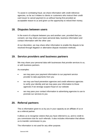To assist in combating fraud, we share information with credit reference agencies, so far as it relates to clients or customers who instruct their credit card issuer to cancel payment to us without having first provided an acceptable reason to us and given us the opportunity to refund their money.

#### **18. Disputes between users**

In the event of a dispute between you and another user, provided that you consent, we may share your basic personal data, business information and contact information with the other user.

At our discretion, we may share other information to enable the dispute to be resolved through litigation or alternative dispute resolution methods.

### **19. Service providers and business partners**

We may share your personal data with businesses that provide services to us, or with business partners.

As examples:

- we may pass your payment information to our payment service provider to take payments from you
- we may use fraud prevention agencies and credit reference agencies to verify your identity and we may pass your information to those agencies if we strongly suspect fraud on our website
- we may pass your contact information to advertising agencies to use to promote our services to you

### **20. Referral partners**

This is information given to us by you in your capacity as an affiliate of us or as a referral partner.

It allows us to recognise visitors that you have referred to us, and to credit to you commission due for such referrals. It also includes information that allows us to transfer commission to you.

The information is not used for any other purpose.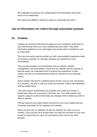We undertake to preserve the confidentiality of the information and of the terms of our relationship.

We expect any affiliate or partner to agree to reciprocate this policy.

#### **Use of information we collect through automated systems**

#### **21. Cookies**

Cookies are small text files that are placed on your computer's hard drive by your web browser when you visit a website that uses them. They allow information gathered on one web page to be stored until it is needed for use at a later date.

They are commonly used to provide you with a personalised experience while you browse a website, for example, allowing your preferences to be remembered.

They can also provide core functionality such as security, network management, and accessibility; record how you interact with the website so that the owner can understand how to improve the experience of other visitors; and serve you advertisements that are relevant to your browsing history.

Some cookies may last for a defined period of time, such as one visit (known as a session), one day or until you close your browser. Others last indefinitely until you delete them.

Your web browser should allow you to delete any cookie you choose. It should also allow you to prevent or limit their use. Your web browser may support a plug-in or add-on that helps you manage which cookies you wish to allow to operate.

The law requires you to give explicit consent for use of any cookies that are not strictly necessary for the operation of a website.

When you first visit our website, we ask you whether you wish us to use cookies. If you choose not to accept them, we shall not use them for your visit except to record that you have not consented to their use for any other purpose.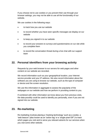If you choose not to use cookies or you prevent their use through your browser settings, you may not be able to use all the functionality of our website.

We use cookies in the following ways:

- to track how you use our website
- to record whether you have seen specific messages we display on our website
- to keep you signed in to our website
- to record your answers to surveys and questionnaires on our site while you complete them
- to record the conversation thread during a live chat with our support team

### **22. Personal identifiers from your browsing activity**

Requests by your web browser to our servers for web pages and other content on our website are recorded.

We record information such as your geographical location, your Internet service provider and your IP address. We also record information about the software you are using to browse our website, such as the type of computer or device and the screen resolution.

We use this information in aggregate to assess the popularity of the webpages on our website and how we perform in providing content to you.

If combined with other information we know about you from previous visits, the data possibly could be used to identify you personally, even if you are not signed into our website.

#### **23. Re-marketing**

Re-marketing involves placing a 'tracking technology' such as a cookie, a 'web beacon' (also known as an 'action tag' or a 'single-pixel GIF') to track which pages you visit and to serve you relevant adverts for our services when you visit some other website.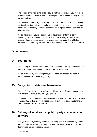The benefit of re-marketing technology is that we can provide you with more useful and relevant adverts, and not show you ones repeatedly that you may have already seen.

We may use a third-party advertising service to provide us with re-marketing services from time to time. If you have consented to our use of such tracking technologies, you may see advertisements for our products and services on other websites.

We do not provide your personal data to advertisers or to third-party remarketing service providers. However, if you are already a member of a website whose affiliated business provides such services, that affiliated business may learn of your preferences in relation to your use of our website.

#### **Other matters**

### **24. Your rights**

The law requires us to tell you about your rights and our obligations to you in regard to the processing and control of your personal data.

We do this now, by requesting that you read the information provided at [http://www.knowyourprivacyrights.org](http://www.knowyourprivacyrights.org/)

### **25. Encryption of data sent between us**

We use Secure Sockets Layer (SSL) certificates to verify our identity to your browser and to encrypt any data you give us.

Whenever information is transferred between us, you can check that it is done so using SSL by looking for a closed padlock symbol or other trust mark in your browser's URL bar or toolbar.

# **26. Delivery of services using third party communication software**

With your consent, we may communicate using software provided by a third party such as Facebook (WhatsApp), Apple (Facetime), Microsoft (Skype) or Zoom Video Communications (Zoom).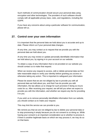Such methods of communication should secure your personal data using encryption and other technologies. The providers of such software should comply with all applicable privacy laws, rules, and regulations, including the GDPR.

If you have any concerns about using a particular software for communication, please tell us.

## **27. Control over your own information**

It is important that the personal data we hold about you is accurate and up to date. Please inform us if your personal data changes.

At any time, you may contact us to request that we provide you with the personal data we hold about you.

At any time you may review or update personally identifiable information that we hold about you, by signing in to your account on our website.

To obtain a copy of any information that is not provided on our website you should contact us to make that request.

When we receive any request to access, edit or delete personal data we first take reasonable steps to verify your identity before granting you access or otherwise taking any action. This is important to safeguard your information.

Please be aware that we are not obliged by law to provide you with all personal data we hold about you, and that if we do provide you with information, the law allows us to charge for such provision if doing so incurs costs for us. After receiving your request, we will tell you when we expect to provide you with the information, and whether we require any fee for providing it to you.

If you wish us to remove personally identifiable information from our website, you should contact us to make your request.

This may limit the service we can provide to you.

We remind you that we are not obliged by law to delete your personal data or to stop processing it simply because you do not consent to us doing so. While having your consent is an important consideration as to whether to process it, if there is another legitimate basis on which we may process it, we may do so on that basis.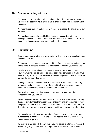#### **28. Communicating with us**

When you contact us, whether by telephone, through our website or by email, we collect the data you have given to us in order to reply with the information you need.

We record your request and our reply in order to increase the efficiency of our business.

We may keep personally identifiable information associated with your message, such as your name and email address so as to be able to track our communications with you to provide a high quality service.

## **29. Complaining**

If you are not happy with our privacy policy, or if you have any complaint, then you should tell us.

When we receive a complaint, we record the information you have given to us on the basis of consent. We use that information to resolve your complaint.

We aim to investigate all complaints relating to user generated content. However, we may not be able to do so as soon as a complaint is made. If we feel that it is justified or if we believe that the law requires us to do so, we shall remove the content while do so.

Making a complaint may not result in the removal of the content. Ultimately, we have to make a judgment as to whose right will be obstructed: yours, or that of the person who posted the content that offends you.

If we think your complaint is vexatious or without any basis, we shall not correspond with you about it.

If your complaint reasonably requires us to notify some other person, we may decide to give to that other person some of the information contained in your complaint. We do this as infrequently as possible, but it is a matter for our sole discretion whether we do give information, and if we do, what that information is.

We may also compile statistics showing information obtained from this source to assess the level of service we provide, but not in a way that could identify you or any other person.

If a dispute is not settled, then we hope you will agree to attempt to resolve it by engaging in good faith with us in a process of mediation or arbitration.